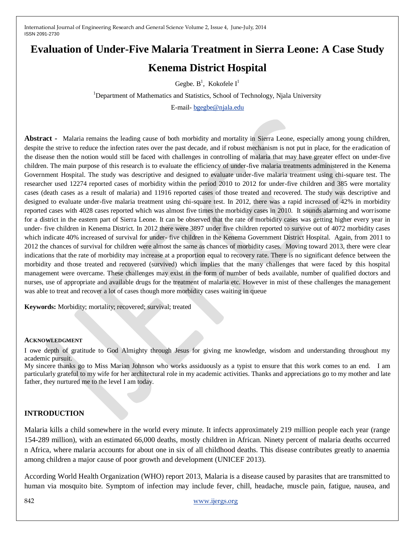# **Evaluation of Under-Five Malaria Treatment in Sierra Leone: A Case Study**

# **Kenema District Hospital**

Gegbe.  $B^1$ , Kokofele I<sup>1</sup>

<sup>1</sup>Department of Mathematics and Statistics, School of Technology, Njala University

E-mail- [bgegbe@njala.edu](mailto:bgegbe@njala.edu)

**Abstract -** Malaria remains the leading cause of both morbidity and mortality in Sierra Leone, especially among young children, despite the strive to reduce the infection rates over the past decade, and if robust mechanism is not put in place, for the eradication of the disease then the notion would still be faced with challenges in controlling of malaria that may have greater effect on under-five children. The main purpose of this research is to evaluate the efficiency of under-five malaria treatments administered in the Kenema Government Hospital. The study was descriptive and designed to evaluate under-five malaria treatment using chi-square test. The researcher used 12274 reported cases of morbidity within the period 2010 to 2012 for under-five children and 385 were mortality cases (death cases as a result of malaria) and 11916 reported cases of those treated and recovered. The study was descriptive and designed to evaluate under-five malaria treatment using chi-square test. In 2012, there was a rapid increased of 42% in morbidity reported cases with 4028 cases reported which was almost five times the morbidity cases in 2010. It sounds alarming and worrisome for a district in the eastern part of Sierra Leone. It can be observed that the rate of morbidity cases was getting higher every year in under- five children in Kenema District. In 2012 there were 3897 under five children reported to survive out of 4072 morbidity cases which indicate 40% increased of survival for under- five children in the Kenema Government District Hospital. Again, from 2011 to 2012 the chances of survival for children were almost the same as chances of morbidity cases. Moving toward 2013, there were clear indications that the rate of morbidity may increase at a proportion equal to recovery rate. There is no significant defence between the morbidity and those treated and recovered (survived) which implies that the many challenges that were faced by this hospital management were overcame. These challenges may exist in the form of number of beds available, number of qualified doctors and nurses, use of appropriate and available drugs for the treatment of malaria etc. However in mist of these challenges the management was able to treat and recover a lot of cases though more morbidity cases waiting in queue

**Keywords:** Morbidity; mortality; recovered; survival; treated

#### **ACKNOWLEDGMENT**

I owe depth of gratitude to God Almighty through Jesus for giving me knowledge, wisdom and understanding throughout my academic pursuit.

My sincere thanks go to Miss Marian Johnson who works assiduously as a typist to ensure that this work comes to an end. I am particularly grateful to my wife for her architectural role in my academic activities. Thanks and appreciations go to my mother and late father, they nurtured me to the level I am today.

#### **INTRODUCTION**

Malaria kills a child somewhere in the world every minute. It infects approximately 219 million people each year (range 154-289 million), with an estimated 66,000 deaths, mostly children in African. Ninety percent of malaria deaths occurred n Africa, where malaria accounts for about one in six of all childhood deaths. This disease contributes greatly to anaemia among children a major cause of poor growth and development (UNICEF 2013).

According World Health Organization (WHO) report 2013, Malaria is a disease caused by parasites that are transmitted to human via mosquito bite. Symptom of infection may include fever, chill, headache, muscle pain, fatigue, nausea, and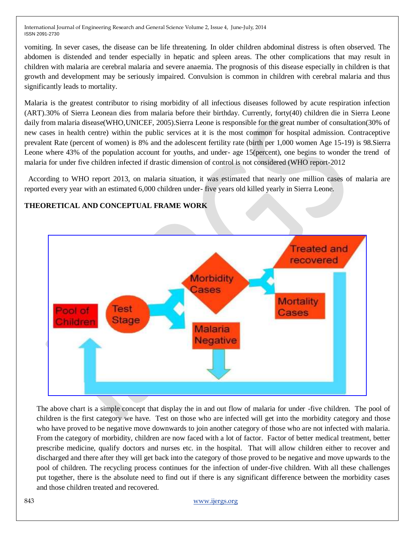vomiting. In sever cases, the disease can be life threatening. In older children abdominal distress is often observed. The abdomen is distended and tender especially in hepatic and spleen areas. The other complications that may result in children with malaria are cerebral malaria and severe anaemia. The prognosis of this disease especially in children is that growth and development may be seriously impaired. Convulsion is common in children with cerebral malaria and thus significantly leads to mortality.

Malaria is the greatest contributor to rising morbidity of all infectious diseases followed by acute respiration infection (ART).30% of Sierra Leonean dies from malaria before their birthday. Currently, forty(40) children die in Sierra Leone daily from malaria disease(WHO,UNICEF, 2005).Sierra Leone is responsible for the great number of consultation(30% of new cases in health centre) within the public services at it is the most common for hospital admission. Contraceptive prevalent Rate (percent of women) is 8% and the adolescent fertility rate (birth per 1,000 women Age 15-19) is 98.Sierra Leone where 43% of the population account for youths, and under- age 15(percent), one begins to wonder the trend of malaria for under five children infected if drastic dimension of control is not considered (WHO report-2012

 According to WHO report 2013, on malaria situation, it was estimated that nearly one million cases of malaria are reported every year with an estimated 6,000 children under- five years old killed yearly in Sierra Leone.

# **Treated and** recovered **Morbidity** Cases **Mortality** Test Cases **Stage Malaria Negative**

**THEORETICAL AND CONCEPTUAL FRAME WORK**

The above chart is a simple concept that display the in and out flow of malaria for under -five children. The pool of children is the first category we have. Test on those who are infected will get into the morbidity category and those who have proved to be negative move downwards to join another category of those who are not infected with malaria. From the category of morbidity, children are now faced with a lot of factor. Factor of better medical treatment, better prescribe medicine, qualify doctors and nurses etc. in the hospital. That will allow children either to recover and discharged and there after they will get back into the category of those proved to be negative and move upwards to the pool of children. The recycling process continues for the infection of under-five children. With all these challenges put together, there is the absolute need to find out if there is any significant difference between the morbidity cases and those children treated and recovered.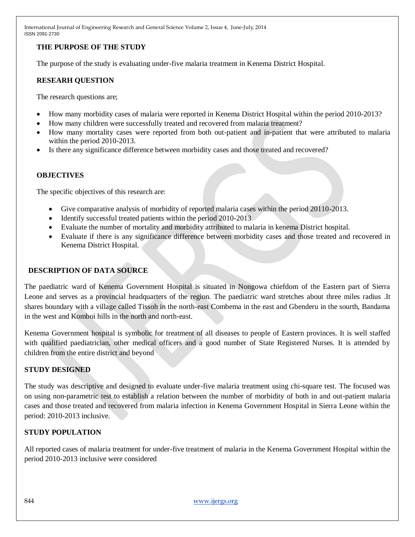# **THE PURPOSE OF THE STUDY**

The purpose of the study is evaluating under-five malaria treatment in Kenema District Hospital.

# **RESEARH QUESTION**

The research questions are;

- How many morbidity cases of malaria were reported in Kenema District Hospital within the period 2010-2013?
- How many children were successfully treated and recovered from malaria treatment?
- How many mortality cases were reported from both out-patient and in-patient that were attributed to malaria within the period 2010-2013.
- Is there any significance difference between morbidity cases and those treated and recovered?

# **OBJECTIVES**

The specific objectives of this research are:

- Give comparative analysis of morbidity of reported malaria cases within the period 20110-2013.
- Identify successful treated patients within the period 2010-2013
- Evaluate the number of mortality and morbidity attributed to malaria in kenema District hospital.
- Evaluate if there is any significance difference between morbidity cases and those treated and recovered in Kenema District Hospital.

# **DESCRIPTION OF DATA SOURCE**

The paediatric ward of Kenema Government Hospital is situated in Nongowa chiefdom of the Eastern part of Sierra Leone and serves as a provincial headquarters of the region. The paediatric ward stretches about three miles radius .It shares boundary with a village called Tissoh in the north-east Combema in the east and Gbenderu in the sourth, Bandama in the west and Komboi hills in the north and north-east.

Kenema Government hospital is symbolic for treatment of all diseases to people of Eastern provinces. It is well staffed with qualified paediatrician, other medical officers and a good number of State Registered Nurses. It is attended by children from the entire district and beyond

# **STUDY DESIGNED**

The study was descriptive and designed to evaluate under-five malaria treatment using chi-square test. The focused was on using non-parametric test to establish a relation between the number of morbidity of both in and out-patient malaria cases and those treated and recovered from malaria infection in Kenema Government Hospital in Sierra Leone within the period: 2010-2013 inclusive.

# **STUDY POPULATION**

All reported cases of malaria treatment for under-five treatment of malaria in the Kenema Government Hospital within the period 2010-2013 inclusive were considered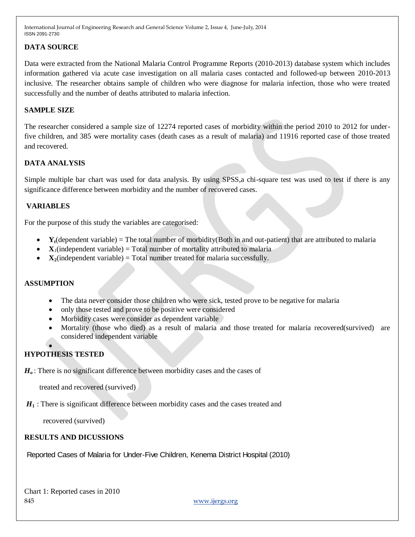# **DATA SOURCE**

Data were extracted from the National Malaria Control Programme Reports (2010-2013) database system which includes information gathered via acute case investigation on all malaria cases contacted and followed-up between 2010-2013 inclusive. The researcher obtains sample of children who were diagnose for malaria infection, those who were treated successfully and the number of deaths attributed to malaria infection.

#### **SAMPLE SIZE**

The researcher considered a sample size of 12274 reported cases of morbidity within the period 2010 to 2012 for underfive children, and 385 were mortality cases (death cases as a result of malaria) and 11916 reported case of those treated and recovered.

#### **DATA ANALYSIS**

Simple multiple bar chart was used for data analysis. By using SPSS,a chi-square test was used to test if there is any significance difference between morbidity and the number of recovered cases.

#### **VARIABLES**

For the purpose of this study the variables are categorised:

- **Yt**(dependent variable) = The total number of morbidity(Both in and out-patient) that are attributed to malaria
- $\mathbf{X}_1$ (independent variable) = Total number of mortality attributed to malaria
- $\mathbf{X}_2$ (independent variable) = Total number treated for malaria successfully.

#### **ASSUMPTION**

- The data never consider those children who were sick, tested prove to be negative for malaria
- only those tested and prove to be positive were considered
- Morbidity cases were consider as dependent variable
- Mortality (those who died) as a result of malaria and those treated for malaria recovered(survived) are considered independent variable

#### $\bullet$ **HYPOTHESIS TESTED**

*Ho* : There is no significant difference between morbidity cases and the cases of

treated and recovered (survived)

*H***1** : There is significant difference between morbidity cases and the cases treated and

recovered (survived)

#### **RESULTS AND DICUSSIONS**

Reported Cases of Malaria for Under-Five Children, Kenema District Hospital (2010)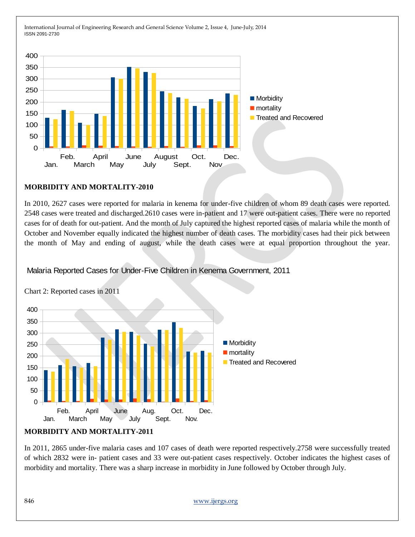

#### **MORBIDITY AND MORTALITY-2010**

In 2010, 2627 cases were reported for malaria in kenema for under-five children of whom 89 death cases were reported. 2548 cases were treated and discharged.2610 cases were in-patient and 17 were out-patient cases. There were no reported cases for of death for out-patient. And the month of July captured the highest reported cases of malaria while the month of October and November equally indicated the highest number of death cases. The morbidity cases had their pick between the month of May and ending of august, while the death cases were at equal proportion throughout the year.

Malaria Reported Cases for Under-Five Children in Kenema Government, 2011



Chart 2: Reported cases in 2011

#### **MORBIDITY AND MORTALITY-2011**

In 2011, 2865 under-five malaria cases and 107 cases of death were reported respectively.2758 were successfully treated of which 2832 were in- patient cases and 33 were out-patient cases respectively. October indicates the highest cases of morbidity and mortality. There was a sharp increase in morbidity in June followed by October through July.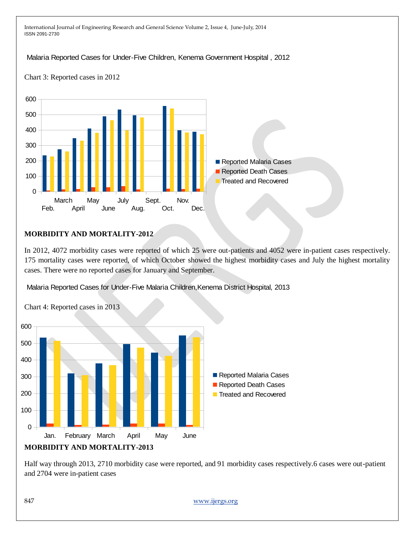# Malaria Reported Cases for Under-Five Children, Kenema Government Hospital , 2012

Chart 3: Reported cases in 2012



#### **MORBIDITY AND MORTALITY-2012**

In 2012, 4072 morbidity cases were reported of which 25 were out-patients and 4052 were in-patient cases respectively. 175 mortality cases were reported, of which October showed the highest morbidity cases and July the highest mortality cases. There were no reported cases for January and September.

Malaria Reported Cases for Under-Five Malaria Children,Kenema District Hospital, 2013



Chart 4: Reported cases in 2013

Half way through 2013, 2710 morbidity case were reported, and 91 morbidity cases respectively.6 cases were out-patient and 2704 were in-patient cases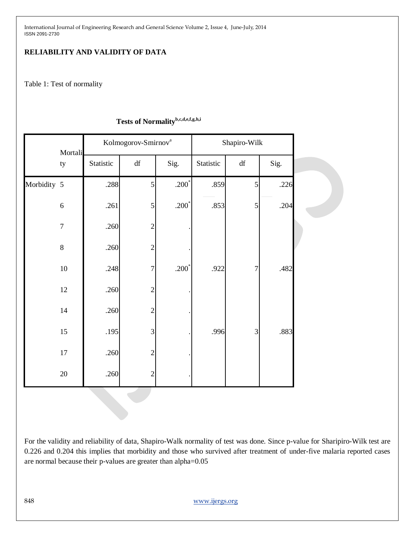# **RELIABILITY AND VALIDITY OF DATA**

Table 1: Test of normality

|             | Mortali          | Kolmogorov-Smirnov <sup>a</sup> |                        |         | Shapiro-Wilk |                |      |  |
|-------------|------------------|---------------------------------|------------------------|---------|--------------|----------------|------|--|
|             | ty               | Statistic                       | $\mathrm{d}\mathrm{f}$ | Sig.    | Statistic    | df             | Sig. |  |
| Morbidity 5 |                  | .288                            | 5                      | $.200*$ | .859         | 5              | .226 |  |
|             | $\sqrt{6}$       | .261                            | 5                      | $.200*$ | .853         | $\mathfrak{S}$ | .204 |  |
|             | $\boldsymbol{7}$ | .260                            | $\overline{2}$         |         |              |                |      |  |
|             | $8\,$            | .260                            | $\overline{c}$         |         |              |                |      |  |
|             | $10\,$           | .248                            | $\overline{7}$         | $.200*$ | .922         | $\overline{7}$ | .482 |  |
|             | 12               | .260                            | $\overline{2}$         |         |              |                |      |  |
|             | $14\,$           | .260                            | $\overline{2}$         |         |              |                |      |  |
|             | $15\,$           | .195                            | 3                      |         | .996         | $\mathfrak{Z}$ | .883 |  |
|             | $17\,$           | .260                            | $\overline{2}$         |         |              |                |      |  |
|             | $20\,$           | .260                            | $\overline{2}$         |         |              |                |      |  |

# **Tests of Normalityb,c,d,e,f,g,h,i**

For the validity and reliability of data, Shapiro-Walk normality of test was done. Since p-value for Sharipiro-Wilk test are 0.226 and 0.204 this implies that morbidity and those who survived after treatment of under-five malaria reported cases are normal because their p-values are greater than alpha=0.05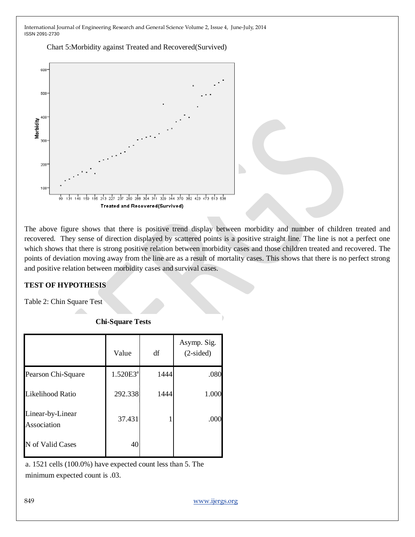Chart 5:Morbidity against Treated and Recovered(Survived)



The above figure shows that there is positive trend display between morbidity and number of children treated and recovered. They sense of direction displayed by scattered points is a positive straight line. The line is not a perfect one which shows that there is strong positive relation between morbidity cases and those children treated and recovered. The points of deviation moving away from the line are as a result of mortality cases. This shows that there is no perfect strong and positive relation between morbidity cases and survival cases.

# **TEST OF HYPOTHESIS**

Table 2: Chin Square Test

|                                 | Value       | df   | Asymp. Sig.<br>$(2-sided)$ |
|---------------------------------|-------------|------|----------------------------|
| Pearson Chi-Square              | $1.520E3^a$ | 1444 | .080                       |
| Likelihood Ratio                | 292.338     | 1444 | 1.000                      |
| Linear-by-Linear<br>Association | 37.431      |      | .000                       |
| N of Valid Cases                | 40          |      |                            |

**Chi-Square Tests**

a. 1521 cells (100.0%) have expected count less than 5. The minimum expected count is .03.

849 [www.ijergs.org](http://www.ijergs.org/)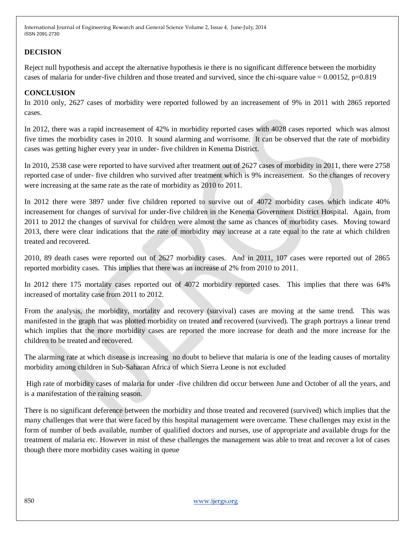# **DECISION**

Reject null hypothesis and accept the alternative hypothesis ie there is no significant difference between the morbidity cases of malaria for under-five children and those treated and survived, since the chi-square value  $= 0.00152$ , p=0.819

# **CONCLUSION**

In 2010 only, 2627 cases of morbidity were reported followed by an increasement of 9% in 2011 with 2865 reported cases.

In 2012, there was a rapid increasement of 42% in morbidity reported cases with 4028 cases reported which was almost five times the morbidity cases in 2010. It sound alarming and worrisome. It can be observed that the rate of morbidity cases was getting higher every year in under- five children in Kenema District.

In 2010, 2538 case were reported to have survived after treatment out of 2627 cases of morbidity in 2011, there were 2758 reported case of under- five children who survived after treatment which is 9% increasement. So the changes of recovery were increasing at the same rate as the rate of morbidity as 2010 to 2011.

In 2012 there were 3897 under five children reported to survive out of 4072 morbidity cases which indicate 40% increasement for changes of survival for under-five children in the Kenema Government District Hospital. Again, from 2011 to 2012 the changes of survival for children were almost the same as chances of morbidity cases. Moving toward 2013, there were clear indications that the rate of morbidity may increase at a rate equal to the rate at which children treated and recovered.

2010, 89 death cases were reported out of 2627 morbidity cases. And in 2011, 107 cases were reported out of 2865 reported morbidity cases. This implies that there was an increase of 2% from 2010 to 2011.

In 2012 there 175 mortality cases reported out of 4072 morbidity reported cases. This implies that there was 64% increased of mortality case from 2011 to 2012.

From the analysis, the morbidity, mortality and recovery (survival) cases are moving at the same trend. This was manifested in the graph that was plotted morbidity on treated and recovered (survived). The graph portrays a linear trend which implies that the more morbidity cases are reported the more increase for death and the more increase for the children to be treated and recovered.

The alarming rate at which disease is increasing no doubt to believe that malaria is one of the leading causes of mortality morbidity among children in Sub-Saharan Africa of which Sierra Leone is not excluded

High rate of morbidity cases of malaria for under -five children did occur between June and October of all the years, and is a manifestation of the raining season.

There is no significant deference between the morbidity and those treated and recovered (survived) which implies that the many challenges that were that were faced by this hospital management were overcame. These challenges may exist in the form of number of beds available, number of qualified doctors and nurses, use of appropriate and available drugs for the treatment of malaria etc. However in mist of these challenges the management was able to treat and recover a lot of cases though there more morbidity cases waiting in queue